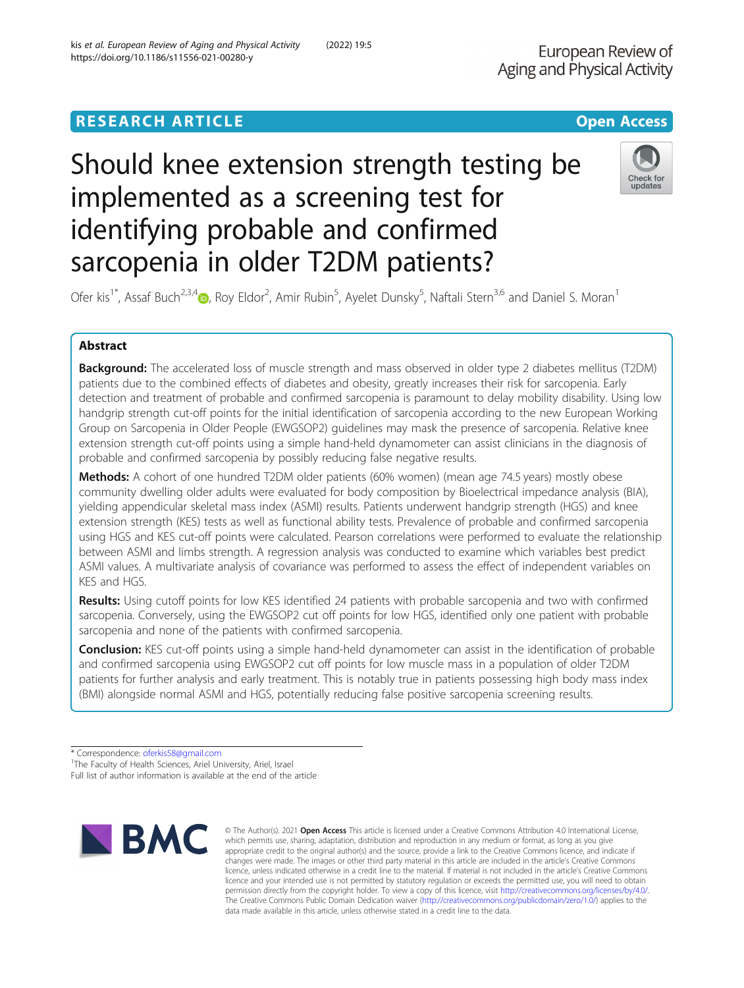# Should knee extension strength testing be implemented as a screening test for identifying probable and confirmed sarcopenia in older T2DM patients?

Ofer kis<sup>1\*</sup>, Assaf Buch<sup>2,3,[4](http://orcid.org/0000-0002-4412-6532)</sup>®, Roy Eldor<sup>2</sup>, Amir Rubin<sup>5</sup>, Ayelet Dunsky<sup>5</sup>, Naftali Stern<sup>3,6</sup> and Daniel S. Moran<sup>1</sup>

## Abstract

Background: The accelerated loss of muscle strength and mass observed in older type 2 diabetes mellitus (T2DM) patients due to the combined effects of diabetes and obesity, greatly increases their risk for sarcopenia. Early detection and treatment of probable and confirmed sarcopenia is paramount to delay mobility disability. Using low handgrip strength cut-off points for the initial identification of sarcopenia according to the new European Working Group on Sarcopenia in Older People (EWGSOP2) guidelines may mask the presence of sarcopenia. Relative knee extension strength cut-off points using a simple hand-held dynamometer can assist clinicians in the diagnosis of probable and confirmed sarcopenia by possibly reducing false negative results.

Methods: A cohort of one hundred T2DM older patients (60% women) (mean age 74.5 years) mostly obese community dwelling older adults were evaluated for body composition by Bioelectrical impedance analysis (BIA), yielding appendicular skeletal mass index (ASMI) results. Patients underwent handgrip strength (HGS) and knee extension strength (KES) tests as well as functional ability tests. Prevalence of probable and confirmed sarcopenia using HGS and KES cut-off points were calculated. Pearson correlations were performed to evaluate the relationship between ASMI and limbs strength. A regression analysis was conducted to examine which variables best predict ASMI values. A multivariate analysis of covariance was performed to assess the effect of independent variables on KES and HGS.

Results: Using cutoff points for low KES identified 24 patients with probable sarcopenia and two with confirmed sarcopenia. Conversely, using the EWGSOP2 cut off points for low HGS, identified only one patient with probable sarcopenia and none of the patients with confirmed sarcopenia.

**Conclusion:** KES cut-off points using a simple hand-held dynamometer can assist in the identification of probable and confirmed sarcopenia using EWGSOP2 cut off points for low muscle mass in a population of older T2DM patients for further analysis and early treatment. This is notably true in patients possessing high body mass index (BMI) alongside normal ASMI and HGS, potentially reducing false positive sarcopenia screening results.

\* Correspondence: [oferkis58@gmail.com](mailto:oferkis58@gmail.com) <sup>1</sup>

<sup>1</sup>The Faculty of Health Sciences, Ariel University, Ariel, Israel

Full list of author information is available at the end of the article





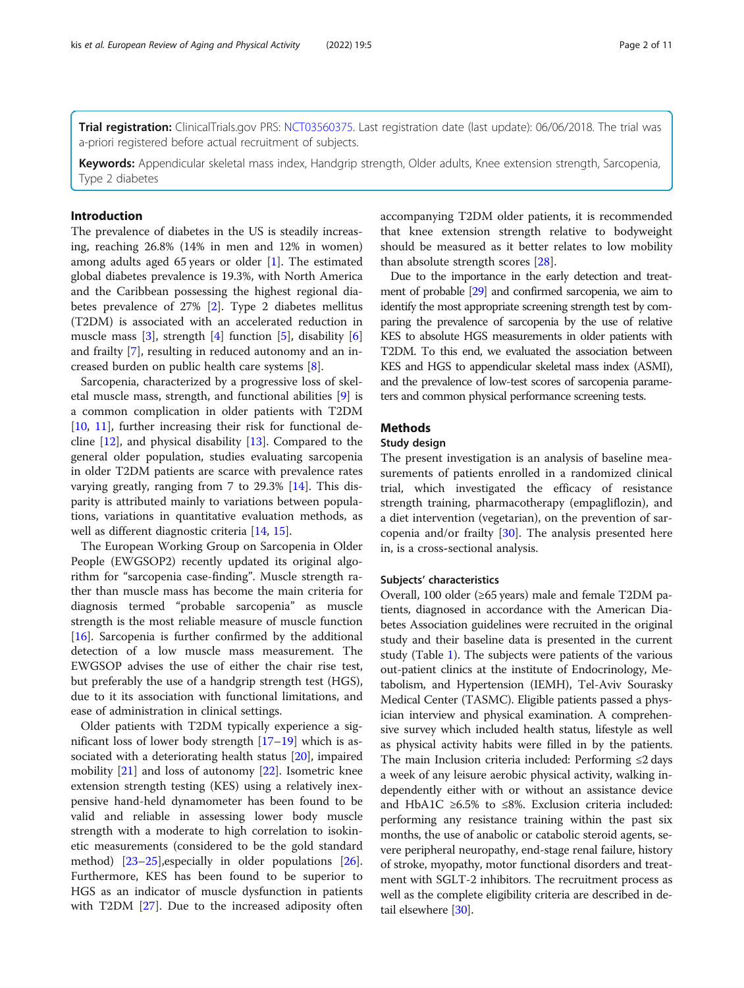Trial registration: ClinicalTrials.gov PRS: [NCT03560375.](https://clinicaltrials.gov/ct2/show/NCT03560375) Last registration date (last update): 06/06/2018. The trial was a-priori registered before actual recruitment of subjects.

Keywords: Appendicular skeletal mass index, Handgrip strength, Older adults, Knee extension strength, Sarcopenia, Type 2 diabetes

## Introduction

The prevalence of diabetes in the US is steadily increasing, reaching 26.8% (14% in men and 12% in women) among adults aged 65 years or older [[1\]](#page-8-0). The estimated global diabetes prevalence is 19.3%, with North America and the Caribbean possessing the highest regional diabetes prevalence of 27% [[2\]](#page-8-0). Type 2 diabetes mellitus (T2DM) is associated with an accelerated reduction in muscle mass  $[3]$  $[3]$  $[3]$ , strength  $[4]$  $[4]$  function  $[5]$  $[5]$ , disability  $[6]$  $[6]$ and frailty [[7\]](#page-9-0), resulting in reduced autonomy and an increased burden on public health care systems [\[8\]](#page-9-0).

Sarcopenia, characterized by a progressive loss of skeletal muscle mass, strength, and functional abilities [[9\]](#page-9-0) is a common complication in older patients with T2DM [[10,](#page-9-0) [11\]](#page-9-0), further increasing their risk for functional decline [[12\]](#page-9-0), and physical disability [\[13\]](#page-9-0). Compared to the general older population, studies evaluating sarcopenia in older T2DM patients are scarce with prevalence rates varying greatly, ranging from 7 to 29.3% [\[14](#page-9-0)]. This disparity is attributed mainly to variations between populations, variations in quantitative evaluation methods, as well as different diagnostic criteria [[14,](#page-9-0) [15\]](#page-9-0).

The European Working Group on Sarcopenia in Older People (EWGSOP2) recently updated its original algorithm for "sarcopenia case-finding". Muscle strength rather than muscle mass has become the main criteria for diagnosis termed "probable sarcopenia" as muscle strength is the most reliable measure of muscle function [[16\]](#page-9-0). Sarcopenia is further confirmed by the additional detection of a low muscle mass measurement. The EWGSOP advises the use of either the chair rise test, but preferably the use of a handgrip strength test (HGS), due to it its association with functional limitations, and ease of administration in clinical settings.

Older patients with T2DM typically experience a significant loss of lower body strength [\[17](#page-9-0)–[19](#page-9-0)] which is associated with a deteriorating health status [[20\]](#page-9-0), impaired mobility [\[21\]](#page-9-0) and loss of autonomy [[22](#page-9-0)]. Isometric knee extension strength testing (KES) using a relatively inexpensive hand-held dynamometer has been found to be valid and reliable in assessing lower body muscle strength with a moderate to high correlation to isokinetic measurements (considered to be the gold standard method) [[23](#page-9-0)–[25](#page-9-0)],especially in older populations [\[26](#page-9-0)]. Furthermore, KES has been found to be superior to HGS as an indicator of muscle dysfunction in patients with T2DM [[27](#page-9-0)]. Due to the increased adiposity often accompanying T2DM older patients, it is recommended that knee extension strength relative to bodyweight should be measured as it better relates to low mobility than absolute strength scores [[28](#page-9-0)].

Due to the importance in the early detection and treatment of probable [\[29](#page-9-0)] and confirmed sarcopenia, we aim to identify the most appropriate screening strength test by comparing the prevalence of sarcopenia by the use of relative KES to absolute HGS measurements in older patients with T2DM. To this end, we evaluated the association between KES and HGS to appendicular skeletal mass index (ASMI), and the prevalence of low-test scores of sarcopenia parameters and common physical performance screening tests.

## **Methods**

## Study design

The present investigation is an analysis of baseline measurements of patients enrolled in a randomized clinical trial, which investigated the efficacy of resistance strength training, pharmacotherapy (empagliflozin), and a diet intervention (vegetarian), on the prevention of sarcopenia and/or frailty [\[30](#page-9-0)]. The analysis presented here in, is a cross-sectional analysis.

#### Subjects' characteristics

Overall, 100 older (≥65 years) male and female T2DM patients, diagnosed in accordance with the American Diabetes Association guidelines were recruited in the original study and their baseline data is presented in the current study (Table [1](#page-2-0)). The subjects were patients of the various out-patient clinics at the institute of Endocrinology, Metabolism, and Hypertension (IEMH), Tel-Aviv Sourasky Medical Center (TASMC). Eligible patients passed a physician interview and physical examination. A comprehensive survey which included health status, lifestyle as well as physical activity habits were filled in by the patients. The main Inclusion criteria included: Performing ≤2 days a week of any leisure aerobic physical activity, walking independently either with or without an assistance device and HbA1C ≥6.5% to ≤8%. Exclusion criteria included: performing any resistance training within the past six months, the use of anabolic or catabolic steroid agents, severe peripheral neuropathy, end-stage renal failure, history of stroke, myopathy, motor functional disorders and treatment with SGLT-2 inhibitors. The recruitment process as well as the complete eligibility criteria are described in detail elsewhere [\[30](#page-9-0)].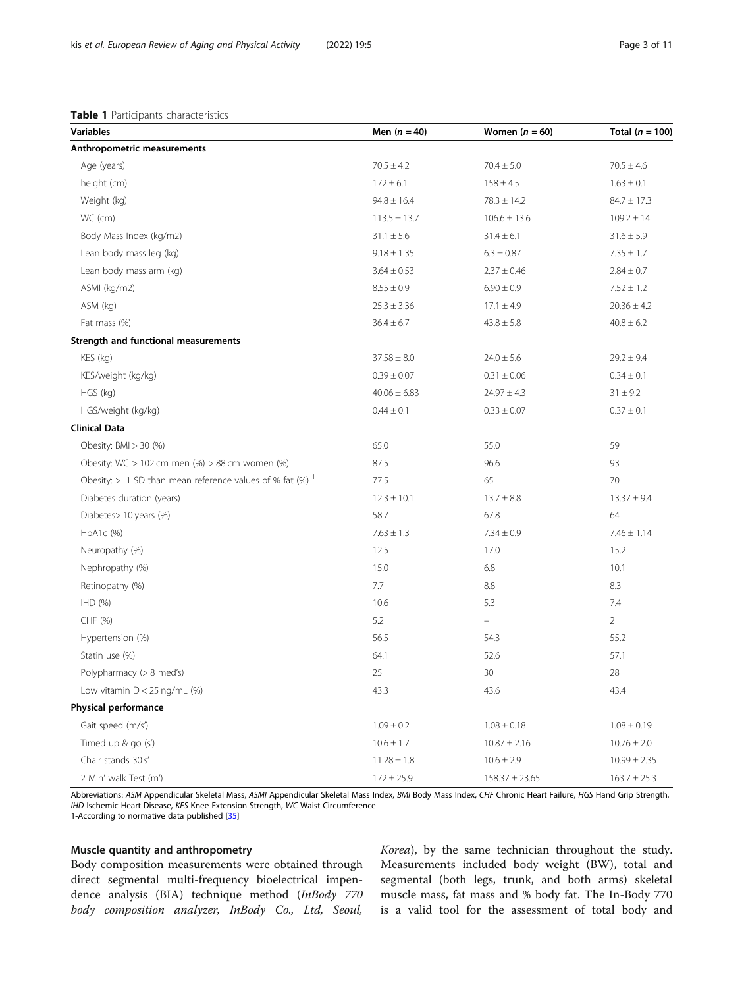#### <span id="page-2-0"></span>Table 1 Participants characteristics

| <b>Variables</b>                                                       | Men $(n = 40)$   | Women $(n = 60)$   | Total $(n = 100)$ |
|------------------------------------------------------------------------|------------------|--------------------|-------------------|
| Anthropometric measurements                                            |                  |                    |                   |
| Age (years)                                                            | $70.5 \pm 4.2$   | $70.4 \pm 5.0$     | $70.5 \pm 4.6$    |
| height (cm)                                                            | $172 \pm 6.1$    | $158 \pm 4.5$      | $1.63\pm0.1$      |
| Weight (kg)                                                            | $94.8 \pm 16.4$  | $78.3 \pm 14.2$    | $84.7 \pm 17.3$   |
| WC (cm)                                                                | $113.5 \pm 13.7$ | $106.6 \pm 13.6$   | $109.2 \pm 14$    |
| Body Mass Index (kg/m2)                                                | $31.1 \pm 5.6$   | $31.4 \pm 6.1$     | $31.6 \pm 5.9$    |
| Lean body mass leg (kg)                                                | $9.18 \pm 1.35$  | $6.3 \pm 0.87$     | $7.35 \pm 1.7$    |
| Lean body mass arm (kg)                                                | $3.64 \pm 0.53$  | $2.37 \pm 0.46$    | $2.84 \pm 0.7$    |
| ASMI (kg/m2)                                                           | $8.55\pm0.9$     | $6.90\pm0.9$       | $7.52 \pm 1.2$    |
| ASM (kg)                                                               | $25.3 \pm 3.36$  | $17.1 \pm 4.9$     | $20.36 \pm 4.2$   |
| Fat mass (%)                                                           | $36.4 \pm 6.7$   | $43.8 \pm 5.8$     | $40.8 \pm 6.2$    |
| Strength and functional measurements                                   |                  |                    |                   |
| KES (kg)                                                               | $37.58 \pm 8.0$  | $24.0 \pm 5.6$     | $29.2 \pm 9.4$    |
| KES/weight (kg/kg)                                                     | $0.39 \pm 0.07$  | $0.31 \pm 0.06$    | $0.34 \pm 0.1$    |
| HGS (kg)                                                               | $40.06 \pm 6.83$ | $24.97 \pm 4.3$    | $31 \pm 9.2$      |
| HGS/weight (kg/kg)                                                     | $0.44 \pm 0.1$   | $0.33 \pm 0.07$    | $0.37 \pm 0.1$    |
| <b>Clinical Data</b>                                                   |                  |                    |                   |
| Obesity: BMI > 30 (%)                                                  | 65.0             | 55.0               | 59                |
| Obesity: WC > 102 cm men (%) > 88 cm women (%)                         | 87.5             | 96.6               | 93                |
| Obesity: $> 1$ SD than mean reference values of % fat (%) <sup>1</sup> | 77.5             | 65                 | 70                |
| Diabetes duration (years)                                              | $12.3 \pm 10.1$  | $13.7 \pm 8.8$     | $13.37 \pm 9.4$   |
| Diabetes > 10 years (%)                                                | 58.7             | 67.8               | 64                |
| HbA1c (%)                                                              | $7.63 \pm 1.3$   | $7.34 \pm 0.9$     | $7.46 \pm 1.14$   |
| Neuropathy (%)                                                         | 12.5             | 17.0               | 15.2              |
| Nephropathy (%)                                                        | 15.0             | 6.8                | 10.1              |
| Retinopathy (%)                                                        | 7.7              | 8.8                | 8.3               |
| H <sub>D</sub> (% )                                                    | 10.6             | 5.3                | 7.4               |
| CHF (%)                                                                | 5.2              | ÷                  | $\overline{2}$    |
| Hypertension (%)                                                       | 56.5             | 54.3               | 55.2              |
| Statin use (%)                                                         | 64.1             | 52.6               | 57.1              |
| Polypharmacy (> 8 med's)                                               | 25               | 30                 | 28                |
| Low vitamin $D < 25$ ng/mL (%)                                         | 43.3             | 43.6               | 43.4              |
| Physical performance                                                   |                  |                    |                   |
| Gait speed (m/s')                                                      | $1.09 \pm 0.2$   | $1.08 \pm 0.18$    | $1.08 \pm 0.19$   |
| Timed up & go (s')                                                     | $10.6 \pm 1.7$   | $10.87 \pm 2.16$   | $10.76 \pm 2.0$   |
| Chair stands 30 s'                                                     | $11.28 \pm 1.8$  | $10.6 \pm 2.9$     | $10.99 \pm 2.35$  |
| 2 Min' walk Test (m')                                                  | $172 \pm 25.9$   | $158.37 \pm 23.65$ | $163.7 \pm 25.3$  |

Abbreviations: ASM Appendicular Skeletal Mass, ASMI Appendicular Skeletal Mass Index, BMI Body Mass Index, CHF Chronic Heart Failure, HGS Hand Grip Strength, IHD Ischemic Heart Disease, KES Knee Extension Strength, WC Waist Circumference

1-According to normative data published [[35\]](#page-9-0)

## Muscle quantity and anthropometry

Body composition measurements were obtained through direct segmental multi-frequency bioelectrical impendence analysis (BIA) technique method (InBody 770 body composition analyzer, InBody Co., Ltd, Seoul,

Korea), by the same technician throughout the study. Measurements included body weight (BW), total and segmental (both legs, trunk, and both arms) skeletal muscle mass, fat mass and % body fat. The In-Body 770 is a valid tool for the assessment of total body and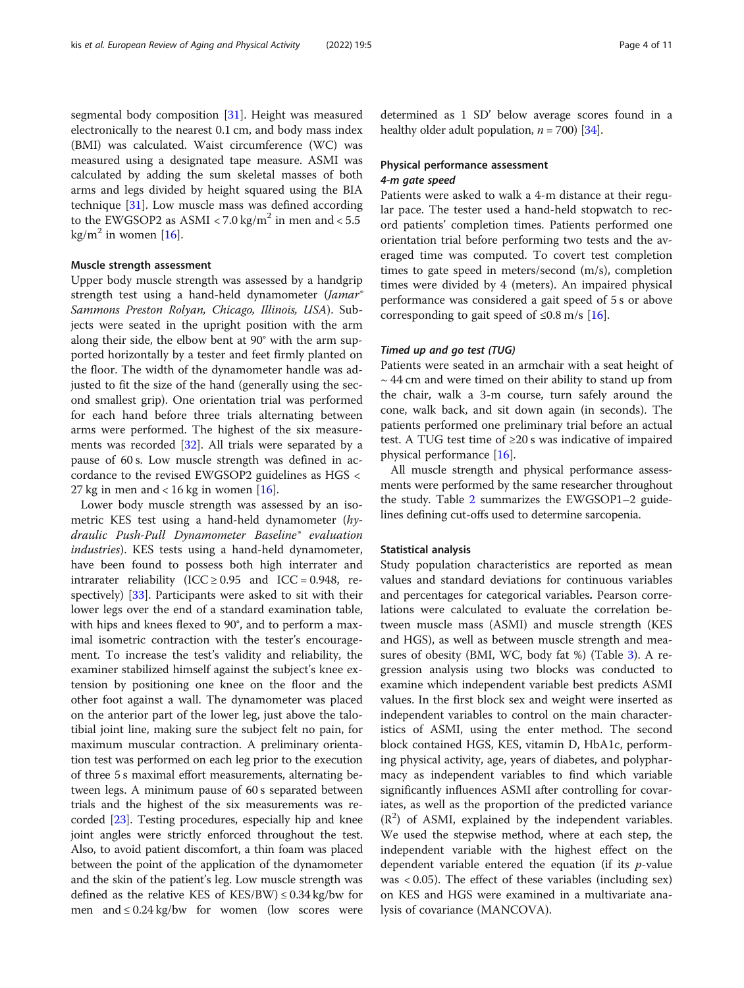segmental body composition [\[31](#page-9-0)]. Height was measured electronically to the nearest 0.1 cm, and body mass index (BMI) was calculated. Waist circumference (WC) was measured using a designated tape measure. ASMI was calculated by adding the sum skeletal masses of both arms and legs divided by height squared using the BIA technique [[31](#page-9-0)]. Low muscle mass was defined according to the EWGSOP2 as ASMI < 7.0 kg/m<sup>2</sup> in men and < 5.5 kg/m<sup>2</sup> in women [[16\]](#page-9-0).

### Muscle strength assessment

Upper body muscle strength was assessed by a handgrip strength test using a hand-held dynamometer (Jamar<sup>®</sup> Sammons Preston Rolyan, Chicago, Illinois, USA). Subjects were seated in the upright position with the arm along their side, the elbow bent at 90° with the arm supported horizontally by a tester and feet firmly planted on the floor. The width of the dynamometer handle was adjusted to fit the size of the hand (generally using the second smallest grip). One orientation trial was performed for each hand before three trials alternating between arms were performed. The highest of the six measurements was recorded [[32\]](#page-9-0). All trials were separated by a pause of 60 s. Low muscle strength was defined in accordance to the revised EWGSOP2 guidelines as HGS < 27 kg in men and < 16 kg in women  $[16]$  $[16]$ .

Lower body muscle strength was assessed by an isometric KES test using a hand-held dynamometer (hydraulic Push-Pull Dynamometer Baseline® evaluation industries). KES tests using a hand-held dynamometer, have been found to possess both high interrater and intrarater reliability (ICC  $\geq$  0.95 and ICC = 0.948, respectively) [[33\]](#page-9-0). Participants were asked to sit with their lower legs over the end of a standard examination table, with hips and knees flexed to 90°, and to perform a maximal isometric contraction with the tester's encouragement. To increase the test's validity and reliability, the examiner stabilized himself against the subject's knee extension by positioning one knee on the floor and the other foot against a wall. The dynamometer was placed on the anterior part of the lower leg, just above the talotibial joint line, making sure the subject felt no pain, for maximum muscular contraction. A preliminary orientation test was performed on each leg prior to the execution of three 5 s maximal effort measurements, alternating between legs. A minimum pause of 60 s separated between trials and the highest of the six measurements was recorded [\[23\]](#page-9-0). Testing procedures, especially hip and knee joint angles were strictly enforced throughout the test. Also, to avoid patient discomfort, a thin foam was placed between the point of the application of the dynamometer and the skin of the patient's leg. Low muscle strength was defined as the relative KES of KES/BW)  $\leq$  0.34 kg/bw for men and  $\leq 0.24 \text{ kg/bw}$  for women (low scores were

determined as 1 SD' below average scores found in a healthy older adult population,  $n = 700$  [\[34\]](#page-9-0).

## Physical performance assessment 4-m gate speed

Patients were asked to walk a 4-m distance at their regular pace. The tester used a hand-held stopwatch to record patients' completion times. Patients performed one orientation trial before performing two tests and the averaged time was computed. To covert test completion times to gate speed in meters/second (m/s), completion times were divided by 4 (meters). An impaired physical performance was considered a gait speed of 5 s or above corresponding to gait speed of  $\leq 0.8$  m/s [\[16](#page-9-0)].

#### Timed up and go test (TUG)

Patients were seated in an armchair with a seat height of  $\sim$  44 cm and were timed on their ability to stand up from the chair, walk a 3-m course, turn safely around the cone, walk back, and sit down again (in seconds). The patients performed one preliminary trial before an actual test. A TUG test time of ≥20 s was indicative of impaired physical performance [\[16\]](#page-9-0).

All muscle strength and physical performance assessments were performed by the same researcher throughout the study. Table [2](#page-4-0) summarizes the EWGSOP1–2 guidelines defining cut-offs used to determine sarcopenia.

#### Statistical analysis

Study population characteristics are reported as mean values and standard deviations for continuous variables and percentages for categorical variables. Pearson correlations were calculated to evaluate the correlation between muscle mass (ASMI) and muscle strength (KES and HGS), as well as between muscle strength and measures of obesity (BMI, WC, body fat %) (Table [3\)](#page-4-0). A regression analysis using two blocks was conducted to examine which independent variable best predicts ASMI values. In the first block sex and weight were inserted as independent variables to control on the main characteristics of ASMI, using the enter method. The second block contained HGS, KES, vitamin D, HbA1c, performing physical activity, age, years of diabetes, and polypharmacy as independent variables to find which variable significantly influences ASMI after controlling for covariates, as well as the proportion of the predicted variance  $(R<sup>2</sup>)$  of ASMI, explained by the independent variables. We used the stepwise method, where at each step, the independent variable with the highest effect on the dependent variable entered the equation (if its  $p$ -value was < 0.05). The effect of these variables (including sex) on KES and HGS were examined in a multivariate analysis of covariance (MANCOVA).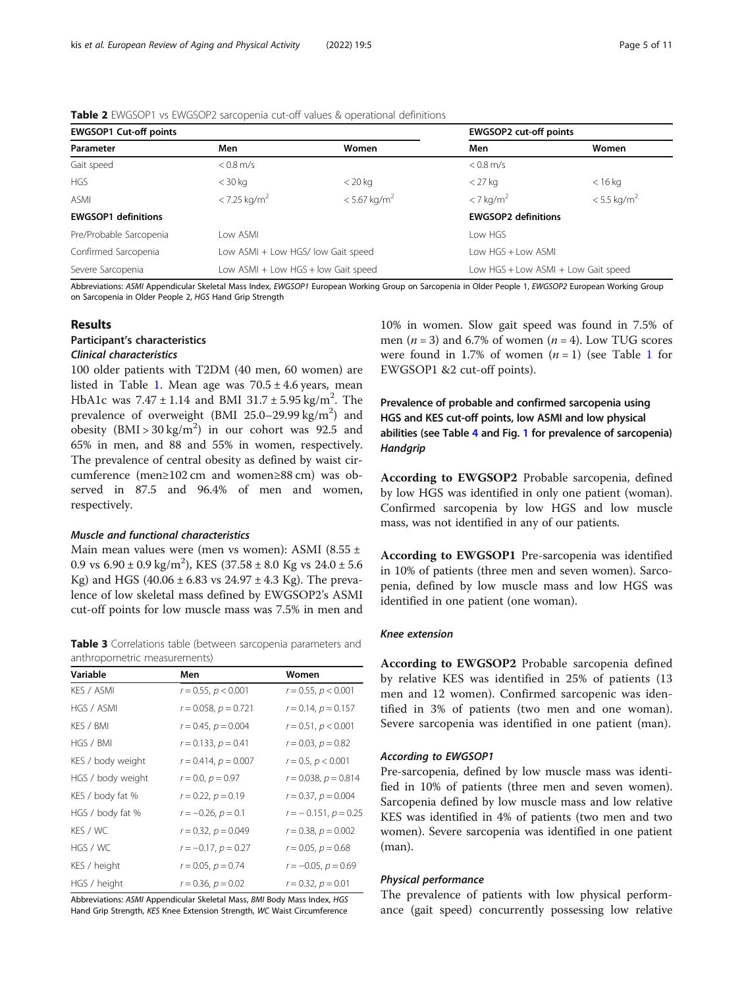## <span id="page-4-0"></span>Table 2 EWGSOP1 vs EWGSOP2 sarcopenia cut-off values & operational definitions

| <b>EWGSOP1 Cut-off points</b> |                                     |                                    | <b>EWGSOP2 cut-off points</b> |                                     |  |
|-------------------------------|-------------------------------------|------------------------------------|-------------------------------|-------------------------------------|--|
| Parameter                     | Men                                 | Women                              | Men                           | Women                               |  |
| Gait speed                    | $< 0.8$ m/s                         |                                    | $< 0.8$ m/s                   |                                     |  |
| <b>HGS</b>                    | $<$ 30 kg                           | $<$ 20 kg                          | $<$ 27 kg                     | $<$ 16 kg                           |  |
| <b>ASMI</b>                   | $<$ 7.25 kg/m <sup>2</sup>          | $< 5.67$ kg/m <sup>2</sup>         | $<$ 7 kg/m <sup>2</sup>       | $< 5.5$ kg/m <sup>2</sup>           |  |
| <b>EWGSOP1</b> definitions    |                                     |                                    | <b>EWGSOP2 definitions</b>    |                                     |  |
| Pre/Probable Sarcopenia       | l ow ASMI                           |                                    | Low HGS                       |                                     |  |
| Confirmed Sarcopenia          |                                     | Low ASMI + Low HGS/ low Gait speed |                               | Low HGS + Low ASML                  |  |
| Severe Sarcopenia             | Low ASMI + Low HGS + low Gait speed |                                    |                               | Low HGS + Low ASMI + Low Gait speed |  |

Abbreviations: ASMI Appendicular Skeletal Mass Index, EWGSOP1 European Working Group on Sarcopenia in Older People 1, EWGSOP2 European Working Group on Sarcopenia in Older People 2, HGS Hand Grip Strength

## Results

## Participant's characteristics

## Clinical characteristics

100 older patients with T2DM (40 men, 60 women) are listed in Table [1](#page-2-0). Mean age was  $70.5 \pm 4.6$  years, mean HbA1c was  $7.47 \pm 1.14$  and BMI  $31.7 \pm 5.95$  kg/m<sup>2</sup>. The prevalence of overweight (BMI  $25.0-29.99 \text{ kg/m}^2$ ) and obesity  $(BMI > 30 \text{ kg/m}^2)$  in our cohort was 92.5 and 65% in men, and 88 and 55% in women, respectively. The prevalence of central obesity as defined by waist circumference (men≥102 cm and women≥88 cm) was observed in 87.5 and 96.4% of men and women, respectively.

## Muscle and functional characteristics

Main mean values were (men vs women): ASMI (8.55 ± 0.9 vs  $6.90 \pm 0.9$  kg/m<sup>2</sup>), KES  $(37.58 \pm 8.0$  Kg vs  $24.0 \pm 5.6$ Kg) and HGS (40.06  $\pm$  6.83 vs 24.97  $\pm$  4.3 Kg). The prevalence of low skeletal mass defined by EWGSOP2's ASMI cut-off points for low muscle mass was 7.5% in men and

Table 3 Correlations table (between sarcopenia parameters and anthropometric measurements)

| Variable          | Men                       | Women                     |
|-------------------|---------------------------|---------------------------|
| KES / ASMI        | $r = 0.55$ , $p < 0.001$  | $r = 0.55$ , $p < 0.001$  |
| HGS / ASMI        | $r = 0.058$ , $p = 0.721$ | $r = 0.14$ , $p = 0.157$  |
| KES / BMI         | $r = 0.45$ , $p = 0.004$  | $r = 0.51, p < 0.001$     |
| HGS / BMI         | $r = 0.133$ , $p = 0.41$  | $r = 0.03$ , $p = 0.82$   |
| KES / body weight | $r = 0.414$ , $p = 0.007$ | $r = 0.5$ , $p < 0.001$   |
| HGS / body weight | $r = 0.0, p = 0.97$       | $r = 0.038$ , $p = 0.814$ |
| KES / body fat %  | $r = 0.22$ , $p = 0.19$   | $r = 0.37, p = 0.004$     |
| HGS / body fat %  | $r = -0.26$ , $p = 0.1$   | $r = -0.151$ , $p = 0.25$ |
| KES / WC          | $r = 0.32$ , $p = 0.049$  | $r = 0.38$ , $p = 0.002$  |
| HGS / WC          | $r = -0.17$ , $p = 0.27$  | $r = 0.05$ , $p = 0.68$   |
| KES / height      | $r = 0.05$ , $p = 0.74$   | $r = -0.05$ , $p = 0.69$  |
| HGS / height      | $r = 0.36, p = 0.02$      | $r = 0.32, p = 0.01$      |

Abbreviations: ASMI Appendicular Skeletal Mass, BMI Body Mass Index, HGS Hand Grip Strength, KES Knee Extension Strength, WC Waist Circumference

10% in women. Slow gait speed was found in 7.5% of men ( $n = 3$ ) and 6.7% of women ( $n = 4$ ). Low TUG scores were found in [1](#page-2-0).7% of women  $(n = 1)$  (see Table 1 for EWGSOP1 &2 cut-off points).

Prevalence of probable and confirmed sarcopenia using HGS and KES cut-off points, low ASMI and low physical abilities (see Table [4](#page-5-0) and Fig. [1](#page-5-0) for prevalence of sarcopenia) **Handgrip** 

According to EWGSOP2 Probable sarcopenia, defined by low HGS was identified in only one patient (woman). Confirmed sarcopenia by low HGS and low muscle mass, was not identified in any of our patients.

According to EWGSOP1 Pre-sarcopenia was identified in 10% of patients (three men and seven women). Sarcopenia, defined by low muscle mass and low HGS was identified in one patient (one woman).

#### Knee extension

According to EWGSOP2 Probable sarcopenia defined by relative KES was identified in 25% of patients (13 men and 12 women). Confirmed sarcopenic was identified in 3% of patients (two men and one woman). Severe sarcopenia was identified in one patient (man).

#### According to EWGSOP1

Pre-sarcopenia, defined by low muscle mass was identified in 10% of patients (three men and seven women). Sarcopenia defined by low muscle mass and low relative KES was identified in 4% of patients (two men and two women). Severe sarcopenia was identified in one patient (man).

### Physical performance

The prevalence of patients with low physical performance (gait speed) concurrently possessing low relative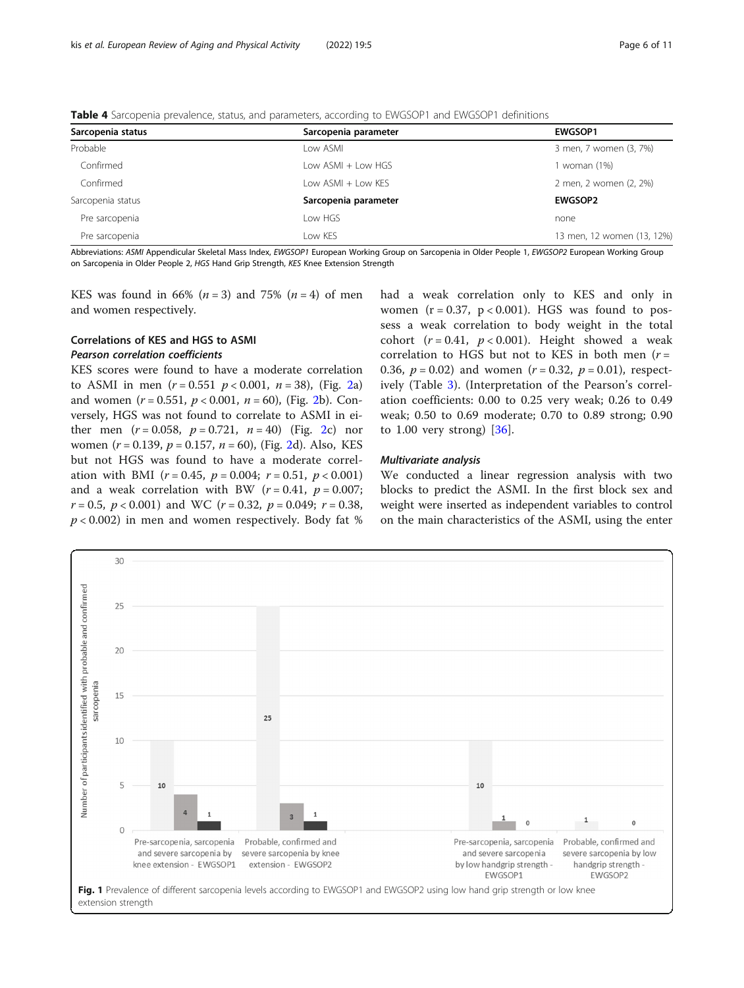<span id="page-5-0"></span>

| Sarcopenia status | Sarcopenia parameter | <b>EWGSOP1</b>             |
|-------------------|----------------------|----------------------------|
| Probable          | Low ASMI             | 3 men, 7 women (3, 7%)     |
| Confirmed         | Low ASMI + Low HGS   | 1 woman (1%)               |
| Confirmed         | Low ASMI + Low KES   | 2 men, 2 women (2, 2%)     |
| Sarcopenia status | Sarcopenia parameter | <b>EWGSOP2</b>             |
| Pre sarcopenia    | Low HGS              | none                       |
| Pre sarcopenia    | Low KES              | 13 men, 12 women (13, 12%) |

Abbreviations: ASMI Appendicular Skeletal Mass Index, EWGSOP1 European Working Group on Sarcopenia in Older People 1, EWGSOP2 European Working Group on Sarcopenia in Older People 2, HGS Hand Grip Strength, KES Knee Extension Strength

KES was found in 66% ( $n = 3$ ) and 75% ( $n = 4$ ) of men and women respectively.

## Correlations of KES and HGS to ASMI Pearson correlation coefficients

KES scores were found to have a moderate correlation to ASMI in men  $(r = 0.551 \, p < 0.001, n = 38)$ , (Fig. [2a](#page-6-0)) and women  $(r = 0.551, p < 0.001, n = 60)$ , (Fig. [2b](#page-6-0)). Conversely, HGS was not found to correlate to ASMI in either men  $(r = 0.058, p = 0.721, n = 40)$  (Fig. [2c](#page-6-0)) nor women ( $r = 0.139$ ,  $p = 0.157$ ,  $n = 60$ ), (Fig. [2](#page-6-0)d). Also, KES but not HGS was found to have a moderate correlation with BMI ( $r = 0.45$ ,  $p = 0.004$ ;  $r = 0.51$ ,  $p < 0.001$ ) and a weak correlation with BW ( $r = 0.41$ ,  $p = 0.007$ ;  $r = 0.5$ ,  $p < 0.001$ ) and WC ( $r = 0.32$ ,  $p = 0.049$ ;  $r = 0.38$ ,  $p < 0.002$ ) in men and women respectively. Body fat % had a weak correlation only to KES and only in women  $(r = 0.37, p < 0.001)$ . HGS was found to possess a weak correlation to body weight in the total cohort  $(r = 0.41, p < 0.001)$ . Height showed a weak correlation to HGS but not to KES in both men ( $r =$ 0.36,  $p = 0.02$ ) and women ( $r = 0.32$ ,  $p = 0.01$ ), respectively (Table [3](#page-4-0)). (Interpretation of the Pearson's correlation coefficients: 0.00 to 0.25 very weak; 0.26 to 0.49 weak; 0.50 to 0.69 moderate; 0.70 to 0.89 strong; 0.90 to  $1.00$  very strong)  $[36]$  $[36]$ .

### Multivariate analysis

We conducted a linear regression analysis with two blocks to predict the ASMI. In the first block sex and weight were inserted as independent variables to control on the main characteristics of the ASMI, using the enter

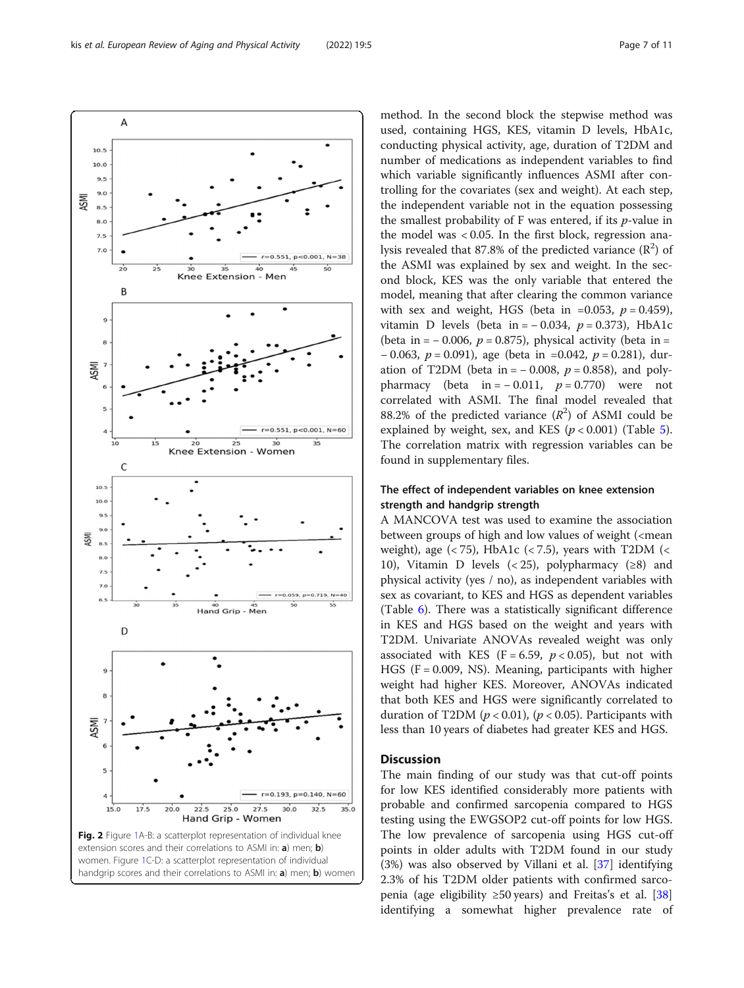conducting physical activity, age, duration of T2DM and number of medications as independent variables to find which variable significantly influences ASMI after controlling for the covariates (sex and weight). At each step, the independent variable not in the equation possessing the smallest probability of F was entered, if its p-value in the model was < 0.05. In the first block, regression analysis revealed that 87.8% of the predicted variance  $(R^2)$  of the ASMI was explained by sex and weight. In the second block, KES was the only variable that entered the model, meaning that after clearing the common variance with sex and weight, HGS (beta in =0.053,  $p = 0.459$ ), vitamin D levels (beta in =  $-0.034$ ,  $p = 0.373$ ), HbA1c (beta in =  $-0.006$ ,  $p = 0.875$ ), physical activity (beta in =  $-0.063$ ,  $p = 0.091$ ), age (beta in =0.042,  $p = 0.281$ ), duration of T2DM (beta in =  $-0.008$ ,  $p = 0.858$ ), and polypharmacy (beta in =  $-0.011$ ,  $p = 0.770$ ) were not correlated with ASMI. The final model revealed that 88.2% of the predicted variance  $(R^2)$  of ASMI could be explained by weight, sex, and KES ( $p < 0.001$ ) (Table [5](#page-7-0)). The correlation matrix with regression variables can be found in supplementary files.

method. In the second block the stepwise method was used, containing HGS, KES, vitamin D levels, HbA1c,

## The effect of independent variables on knee extension strength and handgrip strength

A MANCOVA test was used to examine the association between groups of high and low values of weight (<mean weight), age  $(< 75)$ , HbA1c  $(< 7.5)$ , years with T2DM  $(<$ 10), Vitamin D levels  $( $25$ ), polypharmacy ( $\geq 8$ ) and$ physical activity (yes / no), as independent variables with sex as covariant, to KES and HGS as dependent variables (Table [6\)](#page-7-0). There was a statistically significant difference in KES and HGS based on the weight and years with T2DM. Univariate ANOVAs revealed weight was only associated with KES (F = 6.59,  $p < 0.05$ ), but not with HGS ( $F = 0.009$ , NS). Meaning, participants with higher weight had higher KES. Moreover, ANOVAs indicated that both KES and HGS were significantly correlated to duration of T2DM ( $p < 0.01$ ), ( $p < 0.05$ ). Participants with less than 10 years of diabetes had greater KES and HGS.

## **Discussion**

The main finding of our study was that cut-off points for low KES identified considerably more patients with probable and confirmed sarcopenia compared to HGS testing using the EWGSOP2 cut-off points for low HGS. The low prevalence of sarcopenia using HGS cut-off points in older adults with T2DM found in our study (3%) was also observed by Villani et al. [\[37](#page-9-0)] identifying 2.3% of his T2DM older patients with confirmed sarco-penia (age eligibility ≥50 years) and Freitas's et al. [[38](#page-9-0)] identifying a somewhat higher prevalence rate of

handgrip scores and their correlations to ASMI in: a) men; b) women

<span id="page-6-0"></span>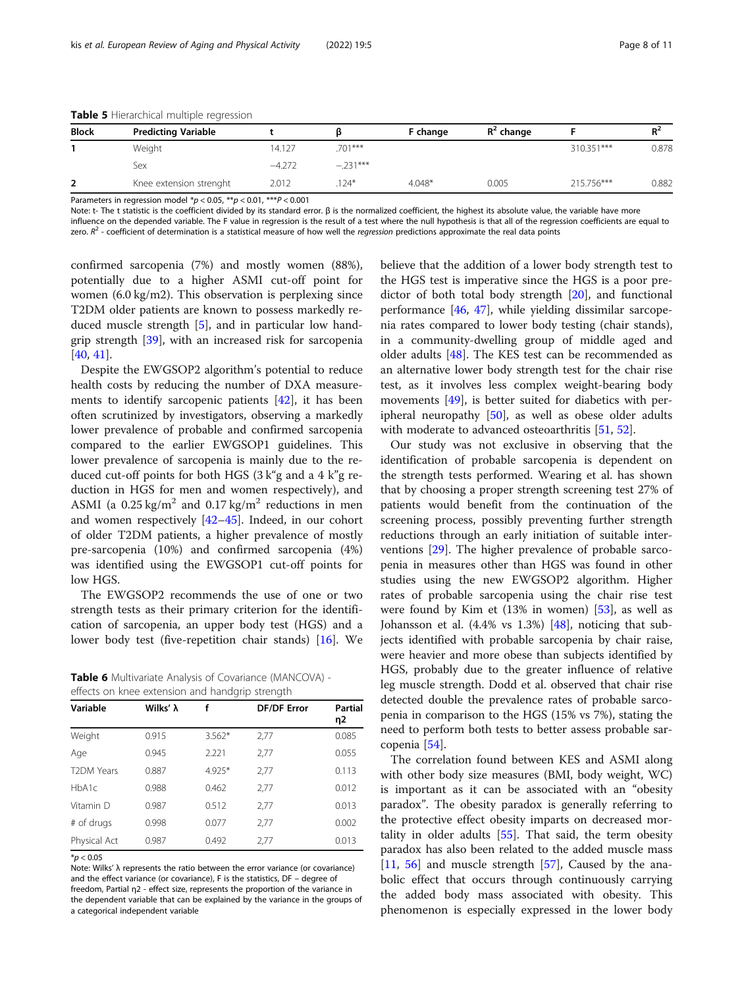| <b>Block</b> | <b>Predicting Variable</b> |          |            | F change | $R^2$ change |            | $R^2$ |
|--------------|----------------------------|----------|------------|----------|--------------|------------|-------|
|              | Weight                     | 14.127   | $.701***$  |          |              | 310.351*** | 0.878 |
|              | Sex                        | $-4.272$ | $-.231***$ |          |              |            |       |
|              | Knee extension strenght    | 2.012    | $.124*$    | $4.048*$ | 0.005        | 215.756*** | 0.882 |

<span id="page-7-0"></span>Table 5 Hierarchical multiple regression

Parameters in regression model  $p < 0.05$ ,  $p < 0.01$ ,  $p < 0.001$ 

Note: t- The t statistic is the coefficient divided by its standard error.  $β$  is the normalized coefficient, the highest its absolute value, the variable have more influence on the depended variable. The F value in regression is the result of a test where the null hypothesis is that all of the regression coefficients are equal to

zero.  $R^2$  - coefficient of determination is a statistical measure of how well the regression predictions approximate the real data points

confirmed sarcopenia (7%) and mostly women (88%), potentially due to a higher ASMI cut-off point for women (6.0 kg/m2). This observation is perplexing since T2DM older patients are known to possess markedly reduced muscle strength [[5\]](#page-8-0), and in particular low handgrip strength [\[39\]](#page-9-0), with an increased risk for sarcopenia [[40,](#page-9-0) [41\]](#page-9-0).

Despite the EWGSOP2 algorithm's potential to reduce health costs by reducing the number of DXA measurements to identify sarcopenic patients [[42\]](#page-9-0), it has been often scrutinized by investigators, observing a markedly lower prevalence of probable and confirmed sarcopenia compared to the earlier EWGSOP1 guidelines. This lower prevalence of sarcopenia is mainly due to the reduced cut-off points for both HGS (3 k"g and a 4 k"g reduction in HGS for men and women respectively), and ASMI (a  $0.25 \text{ kg/m}^2$  and  $0.17 \text{ kg/m}^2$  reductions in men and women respectively [\[42](#page-9-0)–[45](#page-10-0)]. Indeed, in our cohort of older T2DM patients, a higher prevalence of mostly pre-sarcopenia (10%) and confirmed sarcopenia (4%) was identified using the EWGSOP1 cut-off points for low HGS.

The EWGSOP2 recommends the use of one or two strength tests as their primary criterion for the identification of sarcopenia, an upper body test (HGS) and a lower body test (five-repetition chair stands) [\[16](#page-9-0)]. We

Table 6 Multivariate Analysis of Covariance (MANCOVA) effects on knee extension and handgrip strength

| Variable          | Wilks' λ | f        | <b>DF/DF Error</b> | <b>Partial</b><br>η2 |  |
|-------------------|----------|----------|--------------------|----------------------|--|
| Weight            | 0.915    | $3.562*$ | 2,77               | 0.085                |  |
| Age               | 0.945    | 2.221    | 2,77               | 0.055                |  |
| <b>T2DM Years</b> | 0.887    | 4.925*   | 2,77               | 0.113                |  |
| HbA1c             | 0.988    | 0.462    | 2,77               | 0.012                |  |
| Vitamin D         | 0.987    | 0.512    | 2,77               | 0.013                |  |
| # of drugs        | 0.998    | 0.077    | 2,77               | 0.002                |  |
| Physical Act      | 0.987    | 0.492    | 2,77               | 0.013                |  |

 $*$ *p* < 0.05

Note: Wilks' λ represents the ratio between the error variance (or covariance) and the effect variance (or covariance), F is the statistics, DF – degree of freedom, Partial η2 - effect size, represents the proportion of the variance in the dependent variable that can be explained by the variance in the groups of a categorical independent variable

believe that the addition of a lower body strength test to the HGS test is imperative since the HGS is a poor predictor of both total body strength [\[20\]](#page-9-0), and functional performance [[46,](#page-10-0) [47\]](#page-10-0), while yielding dissimilar sarcopenia rates compared to lower body testing (chair stands), in a community-dwelling group of middle aged and older adults  $[48]$  $[48]$ . The KES test can be recommended as an alternative lower body strength test for the chair rise test, as it involves less complex weight-bearing body movements [[49\]](#page-10-0), is better suited for diabetics with peripheral neuropathy  $[50]$  $[50]$ , as well as obese older adults with moderate to advanced osteoarthritis [\[51,](#page-10-0) [52\]](#page-10-0).

Our study was not exclusive in observing that the identification of probable sarcopenia is dependent on the strength tests performed. Wearing et al. has shown that by choosing a proper strength screening test 27% of patients would benefit from the continuation of the screening process, possibly preventing further strength reductions through an early initiation of suitable interventions [\[29\]](#page-9-0). The higher prevalence of probable sarcopenia in measures other than HGS was found in other studies using the new EWGSOP2 algorithm. Higher rates of probable sarcopenia using the chair rise test were found by Kim et  $(13\%$  in women)  $[53]$  $[53]$  $[53]$ , as well as Johansson et al.  $(4.4\% \text{ vs } 1.3\%)$   $[48]$  $[48]$  $[48]$ , noticing that subjects identified with probable sarcopenia by chair raise, were heavier and more obese than subjects identified by HGS, probably due to the greater influence of relative leg muscle strength. Dodd et al. observed that chair rise detected double the prevalence rates of probable sarcopenia in comparison to the HGS (15% vs 7%), stating the need to perform both tests to better assess probable sarcopenia [\[54](#page-10-0)].

The correlation found between KES and ASMI along with other body size measures (BMI, body weight, WC) is important as it can be associated with an "obesity paradox". The obesity paradox is generally referring to the protective effect obesity imparts on decreased mortality in older adults [[55\]](#page-10-0). That said, the term obesity paradox has also been related to the added muscle mass [[11,](#page-9-0) [56](#page-10-0)] and muscle strength [[57](#page-10-0)], Caused by the anabolic effect that occurs through continuously carrying the added body mass associated with obesity. This phenomenon is especially expressed in the lower body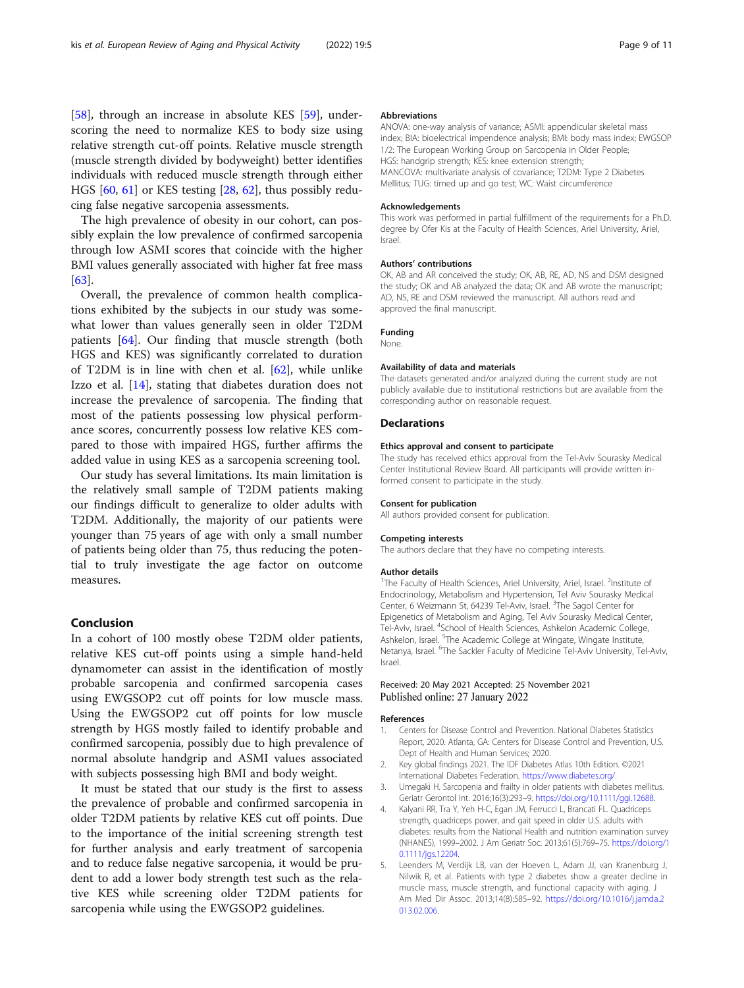<span id="page-8-0"></span>[[58\]](#page-10-0), through an increase in absolute KES [\[59](#page-10-0)], underscoring the need to normalize KES to body size using relative strength cut-off points. Relative muscle strength (muscle strength divided by bodyweight) better identifies individuals with reduced muscle strength through either HGS [[60,](#page-10-0) [61\]](#page-10-0) or KES testing [\[28,](#page-9-0) [62\]](#page-10-0), thus possibly reducing false negative sarcopenia assessments.

The high prevalence of obesity in our cohort, can possibly explain the low prevalence of confirmed sarcopenia through low ASMI scores that coincide with the higher BMI values generally associated with higher fat free mass [[63\]](#page-10-0).

Overall, the prevalence of common health complications exhibited by the subjects in our study was somewhat lower than values generally seen in older T2DM patients [\[64](#page-10-0)]. Our finding that muscle strength (both HGS and KES) was significantly correlated to duration of T2DM is in line with chen et al. [[62](#page-10-0)], while unlike Izzo et al. [\[14](#page-9-0)], stating that diabetes duration does not increase the prevalence of sarcopenia. The finding that most of the patients possessing low physical performance scores, concurrently possess low relative KES compared to those with impaired HGS, further affirms the added value in using KES as a sarcopenia screening tool.

Our study has several limitations. Its main limitation is the relatively small sample of T2DM patients making our findings difficult to generalize to older adults with T2DM. Additionally, the majority of our patients were younger than 75 years of age with only a small number of patients being older than 75, thus reducing the potential to truly investigate the age factor on outcome measures.

#### Conclusion

In a cohort of 100 mostly obese T2DM older patients, relative KES cut-off points using a simple hand-held dynamometer can assist in the identification of mostly probable sarcopenia and confirmed sarcopenia cases using EWGSOP2 cut off points for low muscle mass. Using the EWGSOP2 cut off points for low muscle strength by HGS mostly failed to identify probable and confirmed sarcopenia, possibly due to high prevalence of normal absolute handgrip and ASMI values associated with subjects possessing high BMI and body weight.

It must be stated that our study is the first to assess the prevalence of probable and confirmed sarcopenia in older T2DM patients by relative KES cut off points. Due to the importance of the initial screening strength test for further analysis and early treatment of sarcopenia and to reduce false negative sarcopenia, it would be prudent to add a lower body strength test such as the relative KES while screening older T2DM patients for sarcopenia while using the EWGSOP2 guidelines.

#### Abbreviations

ANOVA: one-way analysis of variance; ASMI: appendicular skeletal mass index; BIA: bioelectrical impendence analysis; BMI: body mass index; EWGSOP 1/2: The European Working Group on Sarcopenia in Older People; HGS: handgrip strength; KES: knee extension strength; MANCOVA: multivariate analysis of covariance; T2DM: Type 2 Diabetes Mellitus; TUG: timed up and go test; WC: Waist circumference

#### Acknowledgements

This work was performed in partial fulfillment of the requirements for a Ph.D. degree by Ofer Kis at the Faculty of Health Sciences, Ariel University, Ariel, Israel.

#### Authors' contributions

OK, AB and AR conceived the study; OK, AB, RE, AD, NS and DSM designed the study; OK and AB analyzed the data; OK and AB wrote the manuscript; AD, NS, RE and DSM reviewed the manuscript. All authors read and approved the final manuscript.

#### Funding

#### None.

#### Availability of data and materials

The datasets generated and/or analyzed during the current study are not publicly available due to institutional restrictions but are available from the corresponding author on reasonable request.

#### **Declarations**

#### Ethics approval and consent to participate

The study has received ethics approval from the Tel-Aviv Sourasky Medical Center Institutional Review Board. All participants will provide written informed consent to participate in the study.

#### Consent for publication

All authors provided consent for publication.

#### Competing interests

The authors declare that they have no competing interests.

#### Author details

<sup>1</sup>The Faculty of Health Sciences, Ariel University, Ariel, Israel. <sup>2</sup>Institute of Endocrinology, Metabolism and Hypertension, Tel Aviv Sourasky Medical Center, 6 Weizmann St, 64239 Tel-Aviv, Israel. <sup>3</sup>The Sagol Center for Epigenetics of Metabolism and Aging, Tel Aviv Sourasky Medical Center, Tel-Aviv, Israel. <sup>4</sup>School of Health Sciences, Ashkelon Academic College, Ashkelon, Israel. <sup>5</sup>The Academic College at Wingate, Wingate Institute, Netanya, Israel. <sup>6</sup>The Sackler Faculty of Medicine Tel-Aviv University, Tel-Aviv, Israel.

#### Received: 20 May 2021 Accepted: 25 November 2021 Published online: 27 January 2022

#### References

- 1. Centers for Disease Control and Prevention. National Diabetes Statistics Report, 2020. Atlanta, GA: Centers for Disease Control and Prevention, U.S. Dept of Health and Human Services; 2020.
- 2. Key global findings 2021. The IDF Diabetes Atlas 10th Edition. ©2021 International Diabetes Federation. [https://www.diabetes.org/.](https://www.diabetes.org/)
- 3. Umegaki H. Sarcopenia and frailty in older patients with diabetes mellitus. Geriatr Gerontol Int. 2016;16(3):293–9. [https://doi.org/10.1111/ggi.12688.](https://doi.org/10.1111/ggi.12688)
- 4. Kalyani RR, Tra Y, Yeh H-C, Egan JM, Ferrucci L, Brancati FL. Quadriceps strength, quadriceps power, and gait speed in older U.S. adults with diabetes: results from the National Health and nutrition examination survey (NHANES), 1999–2002. J Am Geriatr Soc. 2013;61(5):769–75. [https://doi.org/1](https://doi.org/10.1111/jgs.12204) [0.1111/jgs.12204.](https://doi.org/10.1111/jgs.12204)
- 5. Leenders M, Verdijk LB, van der Hoeven L, Adam JJ, van Kranenburg J, Nilwik R, et al. Patients with type 2 diabetes show a greater decline in muscle mass, muscle strength, and functional capacity with aging. J Am Med Dir Assoc. 2013;14(8):585–92. [https://doi.org/10.1016/j.jamda.2](https://doi.org/10.1016/j.jamda.2013.02.006) [013.02.006](https://doi.org/10.1016/j.jamda.2013.02.006).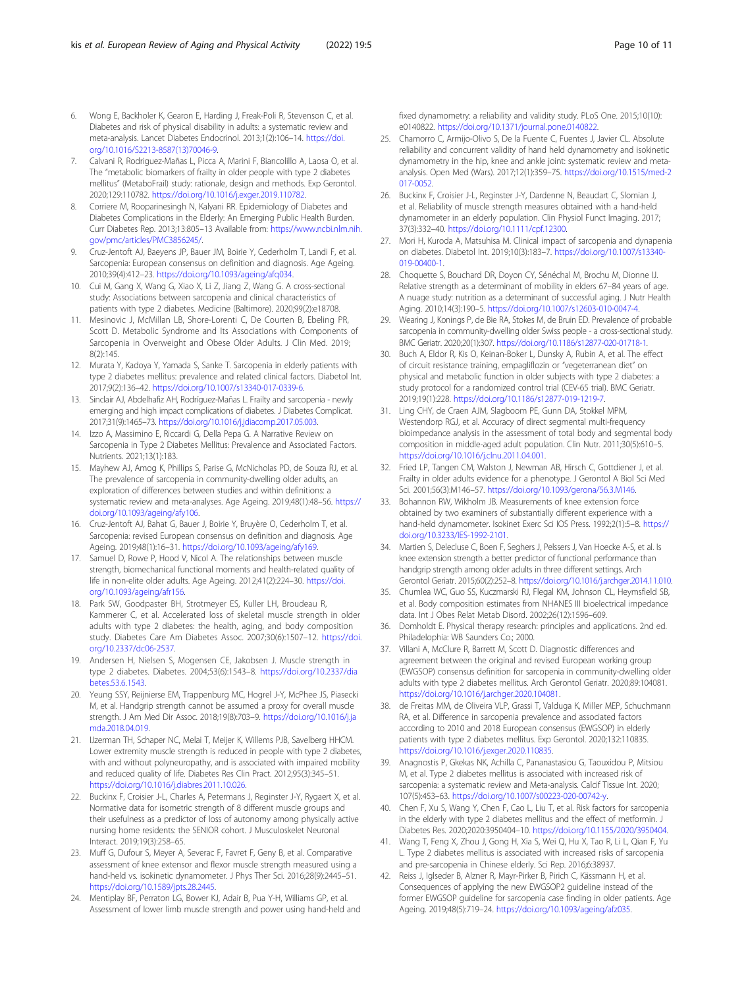- <span id="page-9-0"></span>6. Wong E, Backholer K, Gearon E, Harding J, Freak-Poli R, Stevenson C, et al. Diabetes and risk of physical disability in adults: a systematic review and meta-analysis. Lancet Diabetes Endocrinol. 2013;1(2):106–14. [https://doi.](https://doi.org/10.1016/S2213-8587(13)70046-9) [org/10.1016/S2213-8587\(13\)70046-9.](https://doi.org/10.1016/S2213-8587(13)70046-9)
- 7. Calvani R, Rodriguez-Mañas L, Picca A, Marini F, Biancolillo A, Laosa O, et al. The "metabolic biomarkers of frailty in older people with type 2 diabetes mellitus" (MetaboFrail) study: rationale, design and methods. Exp Gerontol. 2020;129:110782. [https://doi.org/10.1016/j.exger.2019.110782.](https://doi.org/10.1016/j.exger.2019.110782)
- 8. Corriere M, Rooparinesingh N, Kalyani RR. Epidemiology of Diabetes and Diabetes Complications in the Elderly: An Emerging Public Health Burden. Curr Diabetes Rep. 2013;13:805–13 Available from: [https://www.ncbi.nlm.nih.](https://www.ncbi.nlm.nih.gov/pmc/articles/PMC3856245/) [gov/pmc/articles/PMC3856245/.](https://www.ncbi.nlm.nih.gov/pmc/articles/PMC3856245/)
- 9. Cruz-Jentoft AJ, Baeyens JP, Bauer JM, Boirie Y, Cederholm T, Landi F, et al. Sarcopenia: European consensus on definition and diagnosis. Age Ageing. 2010;39(4):412–23. <https://doi.org/10.1093/ageing/afq034>.
- 10. Cui M, Gang X, Wang G, Xiao X, Li Z, Jiang Z, Wang G. A cross-sectional study: Associations between sarcopenia and clinical characteristics of patients with type 2 diabetes. Medicine (Baltimore). 2020;99(2):e18708.
- 11. Mesinovic J, McMillan LB, Shore-Lorenti C, De Courten B, Ebeling PR, Scott D. Metabolic Syndrome and Its Associations with Components of Sarcopenia in Overweight and Obese Older Adults. J Clin Med. 2019; 8(2):145.
- 12. Murata Y, Kadoya Y, Yamada S, Sanke T. Sarcopenia in elderly patients with type 2 diabetes mellitus: prevalence and related clinical factors. Diabetol Int. 2017;9(2):136–42. [https://doi.org/10.1007/s13340-017-0339-6.](https://doi.org/10.1007/s13340-017-0339-6)
- 13. Sinclair AJ, Abdelhafiz AH, Rodríguez-Mañas L. Frailty and sarcopenia newly emerging and high impact complications of diabetes. J Diabetes Complicat. 2017;31(9):1465–73. [https://doi.org/10.1016/j.jdiacomp.2017.05.003.](https://doi.org/10.1016/j.jdiacomp.2017.05.003)
- 14. Izzo A, Massimino E, Riccardi G, Della Pepa G. A Narrative Review on Sarcopenia in Type 2 Diabetes Mellitus: Prevalence and Associated Factors. Nutrients. 2021;13(1):183.
- 15. Mayhew AJ, Amog K, Phillips S, Parise G, McNicholas PD, de Souza RJ, et al. The prevalence of sarcopenia in community-dwelling older adults, an exploration of differences between studies and within definitions: a systematic review and meta-analyses. Age Ageing. 2019;48(1):48–56. [https://](https://doi.org/10.1093/ageing/afy106) [doi.org/10.1093/ageing/afy106.](https://doi.org/10.1093/ageing/afy106)
- 16. Cruz-Jentoft AJ, Bahat G, Bauer J, Boirie Y, Bruyère O, Cederholm T, et al. Sarcopenia: revised European consensus on definition and diagnosis. Age Ageing. 2019;48(1):16–31. [https://doi.org/10.1093/ageing/afy169.](https://doi.org/10.1093/ageing/afy169)
- 17. Samuel D, Rowe P, Hood V, Nicol A. The relationships between muscle strength, biomechanical functional moments and health-related quality of life in non-elite older adults. Age Ageing. 2012;41(2):224–30. [https://doi.](https://doi.org/10.1093/ageing/afr156) [org/10.1093/ageing/afr156](https://doi.org/10.1093/ageing/afr156).
- 18. Park SW, Goodpaster BH, Strotmeyer ES, Kuller LH, Broudeau R, Kammerer C, et al. Accelerated loss of skeletal muscle strength in older adults with type 2 diabetes: the health, aging, and body composition study. Diabetes Care Am Diabetes Assoc. 2007;30(6):1507–12. [https://doi.](https://doi.org/10.2337/dc06-2537) [org/10.2337/dc06-2537](https://doi.org/10.2337/dc06-2537).
- 19. Andersen H, Nielsen S, Mogensen CE, Jakobsen J. Muscle strength in type 2 diabetes. Diabetes. 2004;53(6):1543–8. [https://doi.org/10.2337/dia](https://doi.org/10.2337/diabetes.53.6.1543) [betes.53.6.1543.](https://doi.org/10.2337/diabetes.53.6.1543)
- 20. Yeung SSY, Reijnierse EM, Trappenburg MC, Hogrel J-Y, McPhee JS, Piasecki M, et al. Handgrip strength cannot be assumed a proxy for overall muscle strength. J Am Med Dir Assoc. 2018;19(8):703–9. [https://doi.org/10.1016/j.ja](https://doi.org/10.1016/j.jamda.2018.04.019) [mda.2018.04.019.](https://doi.org/10.1016/j.jamda.2018.04.019)
- 21. IJzerman TH, Schaper NC, Melai T, Meijer K, Willems PJB, Savelberg HHCM. Lower extremity muscle strength is reduced in people with type 2 diabetes, with and without polyneuropathy, and is associated with impaired mobility and reduced quality of life. Diabetes Res Clin Pract. 2012;95(3):345–51. <https://doi.org/10.1016/j.diabres.2011.10.026>.
- 22. Buckinx F, Croisier J-L, Charles A, Petermans J, Reginster J-Y, Rygaert X, et al. Normative data for isometric strength of 8 different muscle groups and their usefulness as a predictor of loss of autonomy among physically active nursing home residents: the SENIOR cohort. J Musculoskelet Neuronal Interact. 2019;19(3):258–65.
- 23. Muff G, Dufour S, Meyer A, Severac F, Favret F, Geny B, et al. Comparative assessment of knee extensor and flexor muscle strength measured using a hand-held vs. isokinetic dynamometer. J Phys Ther Sci. 2016;28(9):2445–51. [https://doi.org/10.1589/jpts.28.2445.](https://doi.org/10.1589/jpts.28.2445)
- 24. Mentiplay BF, Perraton LG, Bower KJ, Adair B, Pua Y-H, Williams GP, et al. Assessment of lower limb muscle strength and power using hand-held and

fixed dynamometry: a reliability and validity study. PLoS One. 2015;10(10): e0140822. <https://doi.org/10.1371/journal.pone.0140822>.

- 25. Chamorro C, Armijo-Olivo S, De la Fuente C, Fuentes J, Javier CL. Absolute reliability and concurrent validity of hand held dynamometry and isokinetic dynamometry in the hip, knee and ankle joint: systematic review and metaanalysis. Open Med (Wars). 2017;12(1):359–75. [https://doi.org/10.1515/med-2](https://doi.org/10.1515/med-2017-0052) [017-0052.](https://doi.org/10.1515/med-2017-0052)
- 26. Buckinx F, Croisier J-L, Reginster J-Y, Dardenne N, Beaudart C, Slomian J, et al. Reliability of muscle strength measures obtained with a hand-held dynamometer in an elderly population. Clin Physiol Funct Imaging. 2017; 37(3):332–40. <https://doi.org/10.1111/cpf.12300>.
- 27. Mori H, Kuroda A, Matsuhisa M. Clinical impact of sarcopenia and dynapenia on diabetes. Diabetol Int. 2019;10(3):183–7. [https://doi.org/10.1007/s13340-](https://doi.org/10.1007/s13340-019-00400-1) [019-00400-1.](https://doi.org/10.1007/s13340-019-00400-1)
- 28. Choquette S, Bouchard DR, Doyon CY, Sénéchal M, Brochu M, Dionne IJ. Relative strength as a determinant of mobility in elders 67–84 years of age. A nuage study: nutrition as a determinant of successful aging. J Nutr Health Aging. 2010;14(3):190–5. <https://doi.org/10.1007/s12603-010-0047-4>.
- 29. Wearing J, Konings P, de Bie RA, Stokes M, de Bruin ED. Prevalence of probable sarcopenia in community-dwelling older Swiss people - a cross-sectional study. BMC Geriatr. 2020;20(1):307. [https://doi.org/10.1186/s12877-020-01718-1.](https://doi.org/10.1186/s12877-020-01718-1)
- 30. Buch A, Eldor R, Kis O, Keinan-Boker L, Dunsky A, Rubin A, et al. The effect of circuit resistance training, empagliflozin or "vegeterranean diet" on physical and metabolic function in older subjects with type 2 diabetes: a study protocol for a randomized control trial (CEV-65 trial). BMC Geriatr. 2019;19(1):228. [https://doi.org/10.1186/s12877-019-1219-7.](https://doi.org/10.1186/s12877-019-1219-7)
- 31. Ling CHY, de Craen AJM, Slagboom PE, Gunn DA, Stokkel MPM, Westendorp RGJ, et al. Accuracy of direct segmental multi-frequency bioimpedance analysis in the assessment of total body and segmental body composition in middle-aged adult population. Clin Nutr. 2011;30(5):610–5. [https://doi.org/10.1016/j.clnu.2011.04.001.](https://doi.org/10.1016/j.clnu.2011.04.001)
- 32. Fried LP, Tangen CM, Walston J, Newman AB, Hirsch C, Gottdiener J, et al. Frailty in older adults evidence for a phenotype. J Gerontol A Biol Sci Med Sci. 2001;56(3):M146–57. <https://doi.org/10.1093/gerona/56.3.M146>.
- 33. Bohannon RW, Wikholm JB. Measurements of knee extension force obtained by two examiners of substantially different experience with a hand-held dynamometer. Isokinet Exerc Sci IOS Press. 1992;2(1):5–8. [https://](https://doi.org/10.3233/IES-1992-2101) [doi.org/10.3233/IES-1992-2101.](https://doi.org/10.3233/IES-1992-2101)
- 34. Martien S, Delecluse C, Boen F, Seghers J, Pelssers J, Van Hoecke A-S, et al. Is knee extension strength a better predictor of functional performance than handgrip strength among older adults in three different settings. Arch Gerontol Geriatr. 2015;60(2):252–8. <https://doi.org/10.1016/j.archger.2014.11.010>.
- 35. Chumlea WC, Guo SS, Kuczmarski RJ, Flegal KM, Johnson CL, Heymsfield SB, et al. Body composition estimates from NHANES III bioelectrical impedance data. Int J Obes Relat Metab Disord. 2002;26(12):1596–609.
- 36. Domholdt E. Physical therapy research: principles and applications. 2nd ed. Philadelophia: WB Saunders Co.; 2000.
- 37. Villani A, McClure R, Barrett M, Scott D. Diagnostic differences and agreement between the original and revised European working group (EWGSOP) consensus definition for sarcopenia in community-dwelling older adults with type 2 diabetes mellitus. Arch Gerontol Geriatr. 2020;89:104081. [https://doi.org/10.1016/j.archger.2020.104081.](https://doi.org/10.1016/j.archger.2020.104081)
- 38. de Freitas MM, de Oliveira VLP, Grassi T, Valduga K, Miller MEP, Schuchmann RA, et al. Difference in sarcopenia prevalence and associated factors according to 2010 and 2018 European consensus (EWGSOP) in elderly patients with type 2 diabetes mellitus. Exp Gerontol. 2020;132:110835. [https://doi.org/10.1016/j.exger.2020.110835.](https://doi.org/10.1016/j.exger.2020.110835)
- 39. Anagnostis P, Gkekas NK, Achilla C, Pananastasiou G, Taouxidou P, Mitsiou M, et al. Type 2 diabetes mellitus is associated with increased risk of sarcopenia: a systematic review and Meta-analysis. Calcif Tissue Int. 2020; 107(5):453–63. [https://doi.org/10.1007/s00223-020-00742-y.](https://doi.org/10.1007/s00223-020-00742-y)
- 40. Chen F, Xu S, Wang Y, Chen F, Cao L, Liu T, et al. Risk factors for sarcopenia in the elderly with type 2 diabetes mellitus and the effect of metformin. J Diabetes Res. 2020;2020:3950404–10. [https://doi.org/10.1155/2020/3950404.](https://doi.org/10.1155/2020/3950404)
- 41. Wang T, Feng X, Zhou J, Gong H, Xia S, Wei Q, Hu X, Tao R, Li L, Qian F, Yu L. Type 2 diabetes mellitus is associated with increased risks of sarcopenia and pre-sarcopenia in Chinese elderly. Sci Rep. 2016;6:38937.
- 42. Reiss J, Iglseder B, Alzner R, Mayr-Pirker B, Pirich C, Kässmann H, et al. Consequences of applying the new EWGSOP2 guideline instead of the former EWGSOP guideline for sarcopenia case finding in older patients. Age Ageing. 2019;48(5):719–24. [https://doi.org/10.1093/ageing/afz035.](https://doi.org/10.1093/ageing/afz035)